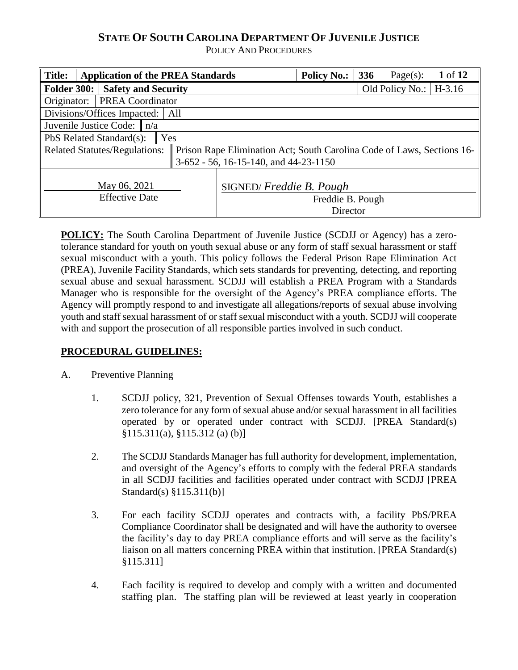# **STATE OF SOUTH CAROLINA DEPARTMENT OF JUVENILE JUSTICE**

POLICY AND PROCEDURES

| <b>Title:</b>                    | <b>Application of the PREA Standards</b> |  |                                                                        | <b>Policy No.:</b> | 336 | Page $(s)$ :             | 1 of 12 |  |  |
|----------------------------------|------------------------------------------|--|------------------------------------------------------------------------|--------------------|-----|--------------------------|---------|--|--|
| <b>Folder 300:</b>               | <b>Safety and Security</b>               |  |                                                                        |                    |     | Old Policy No.: $H-3.16$ |         |  |  |
| Originator:                      | <b>PREA Coordinator</b>                  |  |                                                                        |                    |     |                          |         |  |  |
|                                  | Divisions/Offices Impacted:<br>All       |  |                                                                        |                    |     |                          |         |  |  |
| Juvenile Justice Code: $\ n/a\ $ |                                          |  |                                                                        |                    |     |                          |         |  |  |
|                                  | PbS Related Standard(s):<br>Yes          |  |                                                                        |                    |     |                          |         |  |  |
|                                  | <b>Related Statutes/Regulations:</b>     |  | Prison Rape Elimination Act; South Carolina Code of Laws, Sections 16- |                    |     |                          |         |  |  |
|                                  |                                          |  | $3-652 - 56$ , 16-15-140, and 44-23-1150                               |                    |     |                          |         |  |  |
|                                  |                                          |  |                                                                        |                    |     |                          |         |  |  |
|                                  | May 06, 2021                             |  | SIGNED/Freddie B. Pough                                                |                    |     |                          |         |  |  |
|                                  | <b>Effective Date</b>                    |  | Freddie B. Pough                                                       |                    |     |                          |         |  |  |
|                                  |                                          |  |                                                                        | Director           |     |                          |         |  |  |

**POLICY:** The South Carolina Department of Juvenile Justice (SCDJJ or Agency) has a zerotolerance standard for youth on youth sexual abuse or any form of staff sexual harassment or staff sexual misconduct with a youth. This policy follows the Federal Prison Rape Elimination Act (PREA), Juvenile Facility Standards, which sets standards for preventing, detecting, and reporting sexual abuse and sexual harassment. SCDJJ will establish a PREA Program with a Standards Manager who is responsible for the oversight of the Agency's PREA compliance efforts. The Agency will promptly respond to and investigate all allegations/reports of sexual abuse involving youth and staff sexual harassment of or staff sexual misconduct with a youth. SCDJJ will cooperate with and support the prosecution of all responsible parties involved in such conduct.

## **PROCEDURAL GUIDELINES:**

- A. Preventive Planning
	- 1. SCDJJ policy, 321, Prevention of Sexual Offenses towards Youth, establishes a zero tolerance for any form of sexual abuse and/or sexual harassment in all facilities operated by or operated under contract with SCDJJ. [PREA Standard(s) §115.311(a), §115.312 (a) (b)]
	- 2. The SCDJJ Standards Manager has full authority for development, implementation, and oversight of the Agency's efforts to comply with the federal PREA standards in all SCDJJ facilities and facilities operated under contract with SCDJJ [PREA Standard(s) §115.311(b)]
	- 3. For each facility SCDJJ operates and contracts with, a facility PbS/PREA Compliance Coordinator shall be designated and will have the authority to oversee the facility's day to day PREA compliance efforts and will serve as the facility's liaison on all matters concerning PREA within that institution. [PREA Standard(s) §115.311]
	- 4. Each facility is required to develop and comply with a written and documented staffing plan. The staffing plan will be reviewed at least yearly in cooperation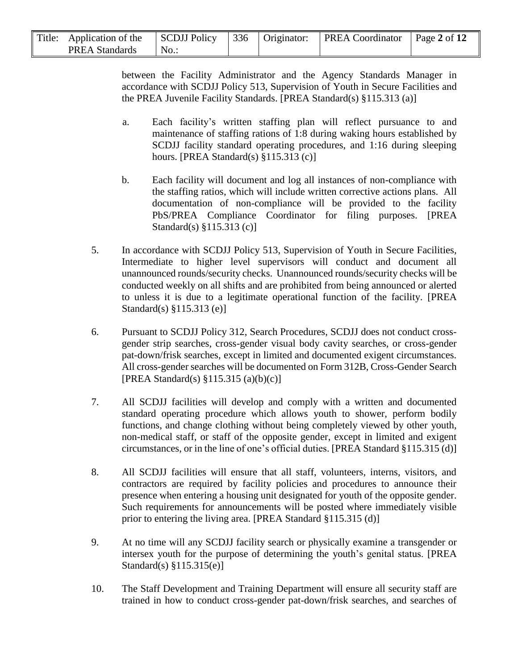| Title: Application of the SCDJJ Policy 336   Originator: PREA Coordinator   Page 2 of 12 |     |  |  |
|------------------------------------------------------------------------------------------|-----|--|--|
| <b>PREA Standards</b>                                                                    | No. |  |  |

between the Facility Administrator and the Agency Standards Manager in accordance with SCDJJ Policy 513, Supervision of Youth in Secure Facilities and the PREA Juvenile Facility Standards. [PREA Standard(s) §115.313 (a)]

- a. Each facility's written staffing plan will reflect pursuance to and maintenance of staffing rations of 1:8 during waking hours established by SCDJJ facility standard operating procedures, and 1:16 during sleeping hours. [PREA Standard(s) §115.313 (c)]
- b. Each facility will document and log all instances of non-compliance with the staffing ratios, which will include written corrective actions plans. All documentation of non-compliance will be provided to the facility PbS/PREA Compliance Coordinator for filing purposes. [PREA Standard(s) §115.313 (c)]
- 5. In accordance with SCDJJ Policy 513, Supervision of Youth in Secure Facilities, Intermediate to higher level supervisors will conduct and document all unannounced rounds/security checks. Unannounced rounds/security checks will be conducted weekly on all shifts and are prohibited from being announced or alerted to unless it is due to a legitimate operational function of the facility. [PREA Standard(s) §115.313 (e)]
- 6. Pursuant to SCDJJ Policy 312, Search Procedures, SCDJJ does not conduct crossgender strip searches, cross-gender visual body cavity searches, or cross-gender pat-down/frisk searches, except in limited and documented exigent circumstances. All cross-gender searches will be documented on Form 312B, Cross-Gender Search [PREA Standard(s) §115.315 (a)(b)(c)]
- 7. All SCDJJ facilities will develop and comply with a written and documented standard operating procedure which allows youth to shower, perform bodily functions, and change clothing without being completely viewed by other youth, non-medical staff, or staff of the opposite gender, except in limited and exigent circumstances, or in the line of one's official duties. [PREA Standard §115.315 (d)]
- 8. All SCDJJ facilities will ensure that all staff, volunteers, interns, visitors, and contractors are required by facility policies and procedures to announce their presence when entering a housing unit designated for youth of the opposite gender. Such requirements for announcements will be posted where immediately visible prior to entering the living area. [PREA Standard §115.315 (d)]
- 9. At no time will any SCDJJ facility search or physically examine a transgender or intersex youth for the purpose of determining the youth's genital status. [PREA Standard(s) §115.315(e)]
- 10. The Staff Development and Training Department will ensure all security staff are trained in how to conduct cross-gender pat-down/frisk searches, and searches of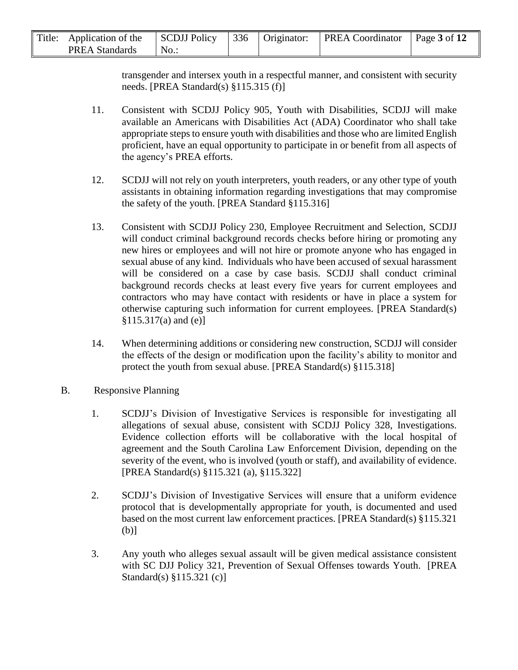| Title: Application of the SCDJJ Policy 336   Originator: PREA Coordinator   Page 3 of 12 |         |  |  |
|------------------------------------------------------------------------------------------|---------|--|--|
| <b>PREA Standards</b>                                                                    | $No.$ : |  |  |

transgender and intersex youth in a respectful manner, and consistent with security needs. [PREA Standard(s) §115.315 (f)]

- 11. Consistent with SCDJJ Policy 905, Youth with Disabilities, SCDJJ will make available an Americans with Disabilities Act (ADA) Coordinator who shall take appropriate steps to ensure youth with disabilities and those who are limited English proficient, have an equal opportunity to participate in or benefit from all aspects of the agency's PREA efforts.
- 12. SCDJJ will not rely on youth interpreters, youth readers, or any other type of youth assistants in obtaining information regarding investigations that may compromise the safety of the youth. [PREA Standard §115.316]
- 13. Consistent with SCDJJ Policy 230, Employee Recruitment and Selection, SCDJJ will conduct criminal background records checks before hiring or promoting any new hires or employees and will not hire or promote anyone who has engaged in sexual abuse of any kind. Individuals who have been accused of sexual harassment will be considered on a case by case basis. SCDJJ shall conduct criminal background records checks at least every five years for current employees and contractors who may have contact with residents or have in place a system for otherwise capturing such information for current employees. [PREA Standard(s) §115.317(a) and (e)]
- 14. When determining additions or considering new construction, SCDJJ will consider the effects of the design or modification upon the facility's ability to monitor and protect the youth from sexual abuse. [PREA Standard(s) §115.318]
- B. Responsive Planning
	- 1. SCDJJ's Division of Investigative Services is responsible for investigating all allegations of sexual abuse, consistent with SCDJJ Policy 328, Investigations. Evidence collection efforts will be collaborative with the local hospital of agreement and the South Carolina Law Enforcement Division, depending on the severity of the event, who is involved (youth or staff), and availability of evidence. [PREA Standard(s) §115.321 (a), §115.322]
	- 2. SCDJJ's Division of Investigative Services will ensure that a uniform evidence protocol that is developmentally appropriate for youth, is documented and used based on the most current law enforcement practices. [PREA Standard(s) §115.321  $(b)$ ]
	- 3. Any youth who alleges sexual assault will be given medical assistance consistent with SC DJJ Policy 321, Prevention of Sexual Offenses towards Youth. [PREA Standard(s) §115.321 (c)]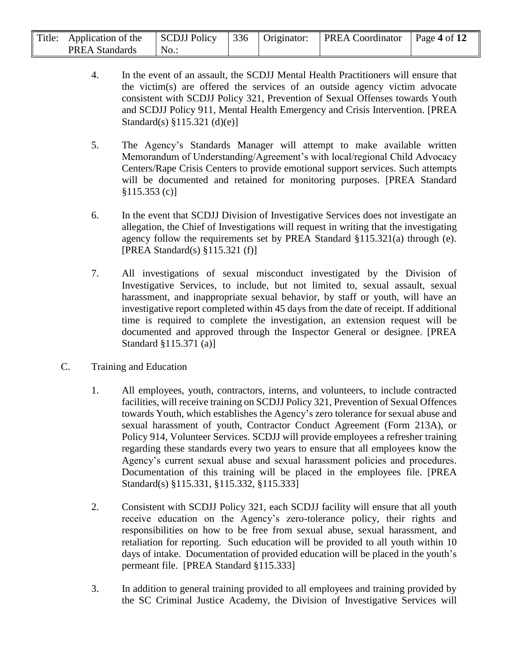| Title: | Application of the    | SCDJJ Policy |  | $\frac{1}{2}$ 336   Originator:   PREA Coordinator   Page 4 of 12 |  |
|--------|-----------------------|--------------|--|-------------------------------------------------------------------|--|
|        | <b>PREA Standards</b> | No.          |  |                                                                   |  |

- 4. In the event of an assault, the SCDJJ Mental Health Practitioners will ensure that the victim(s) are offered the services of an outside agency victim advocate consistent with SCDJJ Policy 321, Prevention of Sexual Offenses towards Youth and SCDJJ Policy 911, Mental Health Emergency and Crisis Intervention. [PREA Standard(s) §115.321 (d)(e)]
- 5. The Agency's Standards Manager will attempt to make available written Memorandum of Understanding/Agreement's with local/regional Child Advocacy Centers/Rape Crisis Centers to provide emotional support services. Such attempts will be documented and retained for monitoring purposes. [PREA Standard  $$115.353(c)]$
- 6. In the event that SCDJJ Division of Investigative Services does not investigate an allegation, the Chief of Investigations will request in writing that the investigating agency follow the requirements set by PREA Standard §115.321(a) through (e). [PREA Standard(s) §115.321 (f)]
- 7. All investigations of sexual misconduct investigated by the Division of Investigative Services, to include, but not limited to, sexual assault, sexual harassment, and inappropriate sexual behavior, by staff or youth, will have an investigative report completed within 45 days from the date of receipt. If additional time is required to complete the investigation, an extension request will be documented and approved through the Inspector General or designee. [PREA Standard §115.371 (a)]
- C. Training and Education
	- 1. All employees, youth, contractors, interns, and volunteers, to include contracted facilities, will receive training on SCDJJ Policy 321, Prevention of Sexual Offences towards Youth, which establishes the Agency's zero tolerance for sexual abuse and sexual harassment of youth, Contractor Conduct Agreement (Form 213A), or Policy 914, Volunteer Services. SCDJJ will provide employees a refresher training regarding these standards every two years to ensure that all employees know the Agency's current sexual abuse and sexual harassment policies and procedures. Documentation of this training will be placed in the employees file. [PREA Standard(s) §115.331, §115.332, §115.333]
	- 2. Consistent with SCDJJ Policy 321, each SCDJJ facility will ensure that all youth receive education on the Agency's zero-tolerance policy, their rights and responsibilities on how to be free from sexual abuse, sexual harassment, and retaliation for reporting. Such education will be provided to all youth within 10 days of intake. Documentation of provided education will be placed in the youth's permeant file. [PREA Standard §115.333]
	- 3. In addition to general training provided to all employees and training provided by the SC Criminal Justice Academy, the Division of Investigative Services will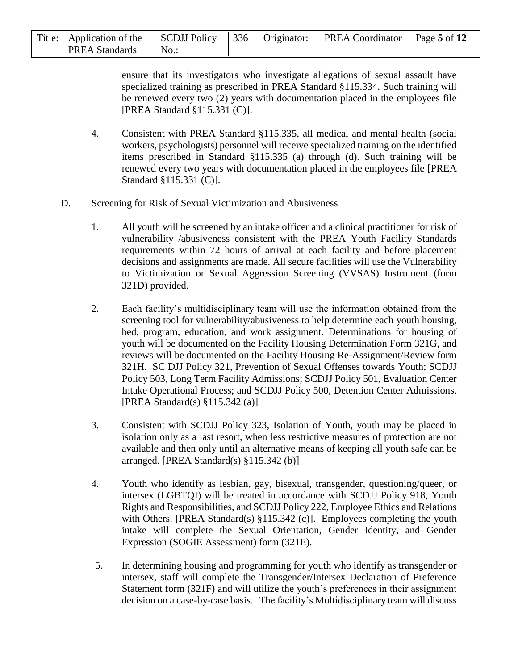| Title: Application of the SCDJJ Policy 336   Originator: PREA Coordinator   Page 5 of 12 |         |  |  |
|------------------------------------------------------------------------------------------|---------|--|--|
| <b>PREA Standards</b>                                                                    | $No.$ : |  |  |

ensure that its investigators who investigate allegations of sexual assault have specialized training as prescribed in PREA Standard §115.334. Such training will be renewed every two (2) years with documentation placed in the employees file [PREA Standard §115.331 (C)].

- 4. Consistent with PREA Standard §115.335, all medical and mental health (social workers, psychologists) personnel will receive specialized training on the identified items prescribed in Standard §115.335 (a) through (d). Such training will be renewed every two years with documentation placed in the employees file [PREA Standard §115.331 (C)].
- D. Screening for Risk of Sexual Victimization and Abusiveness
	- 1. All youth will be screened by an intake officer and a clinical practitioner for risk of vulnerability /abusiveness consistent with the PREA Youth Facility Standards requirements within 72 hours of arrival at each facility and before placement decisions and assignments are made. All secure facilities will use the Vulnerability to Victimization or Sexual Aggression Screening (VVSAS) Instrument (form 321D) provided.
	- 2. Each facility's multidisciplinary team will use the information obtained from the screening tool for vulnerability/abusiveness to help determine each youth housing, bed, program, education, and work assignment. Determinations for housing of youth will be documented on the Facility Housing Determination Form 321G, and reviews will be documented on the Facility Housing Re-Assignment/Review form 321H. SC DJJ Policy 321, Prevention of Sexual Offenses towards Youth; SCDJJ Policy 503, Long Term Facility Admissions; SCDJJ Policy 501, Evaluation Center Intake Operational Process; and SCDJJ Policy 500, Detention Center Admissions. [PREA Standard(s) §115.342 (a)]
	- 3. Consistent with SCDJJ Policy 323, Isolation of Youth, youth may be placed in isolation only as a last resort, when less restrictive measures of protection are not available and then only until an alternative means of keeping all youth safe can be arranged. [PREA Standard(s) §115.342 (b)]
	- 4. Youth who identify as lesbian, gay, bisexual, transgender, questioning/queer, or intersex (LGBTQI) will be treated in accordance with SCDJJ Policy 918, Youth Rights and Responsibilities, and SCDJJ Policy 222, Employee Ethics and Relations with Others. [PREA Standard(s) §115.342 (c)]. Employees completing the youth intake will complete the Sexual Orientation, Gender Identity, and Gender Expression (SOGIE Assessment) form (321E).
	- 5. In determining housing and programming for youth who identify as transgender or intersex, staff will complete the Transgender/Intersex Declaration of Preference Statement form (321F) and will utilize the youth's preferences in their assignment decision on a case-by-case basis. The facility's Multidisciplinary team will discuss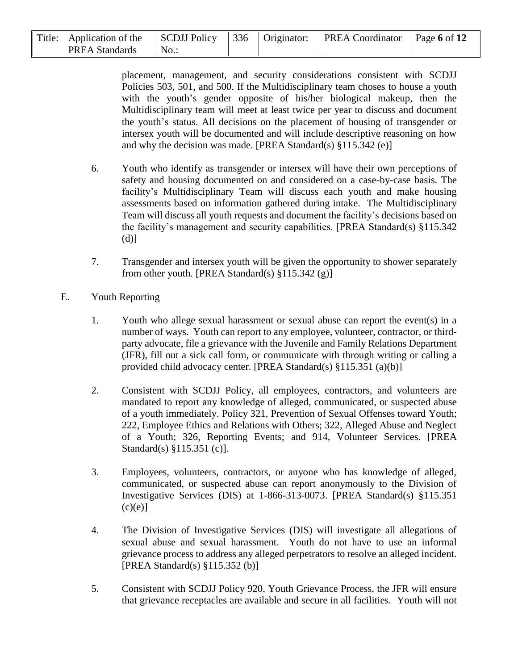| Title: | · Application of the  | SCDJJ Policy |  | $\frac{1}{2}$   336   Originator:   PREA Coordinator   Page 6 of 12 |  |
|--------|-----------------------|--------------|--|---------------------------------------------------------------------|--|
|        | <b>PREA Standards</b> | No.          |  |                                                                     |  |

placement, management, and security considerations consistent with SCDJJ Policies 503, 501, and 500. If the Multidisciplinary team choses to house a youth with the youth's gender opposite of his/her biological makeup, then the Multidisciplinary team will meet at least twice per year to discuss and document the youth's status. All decisions on the placement of housing of transgender or intersex youth will be documented and will include descriptive reasoning on how and why the decision was made. [PREA Standard(s) §115.342 (e)]

- 6. Youth who identify as transgender or intersex will have their own perceptions of safety and housing documented on and considered on a case-by-case basis. The facility's Multidisciplinary Team will discuss each youth and make housing assessments based on information gathered during intake. The Multidisciplinary Team will discuss all youth requests and document the facility's decisions based on the facility's management and security capabilities. [PREA Standard(s) §115.342 (d)]
- 7. Transgender and intersex youth will be given the opportunity to shower separately from other youth. [PREA Standard(s)  $§115.342$  (g)]
- E. Youth Reporting
	- 1. Youth who allege sexual harassment or sexual abuse can report the event(s) in a number of ways. Youth can report to any employee, volunteer, contractor, or thirdparty advocate, file a grievance with the Juvenile and Family Relations Department (JFR), fill out a sick call form, or communicate with through writing or calling a provided child advocacy center. [PREA Standard(s) §115.351 (a)(b)]
	- 2. Consistent with SCDJJ Policy, all employees, contractors, and volunteers are mandated to report any knowledge of alleged, communicated, or suspected abuse of a youth immediately. Policy 321, Prevention of Sexual Offenses toward Youth; 222, Employee Ethics and Relations with Others; 322, Alleged Abuse and Neglect of a Youth; 326, Reporting Events; and 914, Volunteer Services. [PREA Standard(s) §115.351 (c)].
	- 3. Employees, volunteers, contractors, or anyone who has knowledge of alleged, communicated, or suspected abuse can report anonymously to the Division of Investigative Services (DIS) at 1-866-313-0073. [PREA Standard(s) §115.351  $(c)(e)$ ]
	- 4. The Division of Investigative Services (DIS) will investigate all allegations of sexual abuse and sexual harassment. Youth do not have to use an informal grievance process to address any alleged perpetrators to resolve an alleged incident. [PREA Standard(s) §115.352 (b)]
	- 5. Consistent with SCDJJ Policy 920, Youth Grievance Process, the JFR will ensure that grievance receptacles are available and secure in all facilities. Youth will not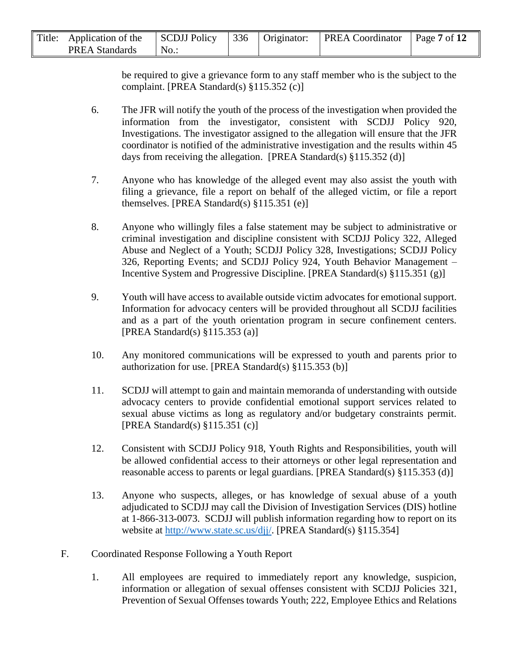| Title: Application of the SCDJJ Policy 336   Originator: PREA Coordinator   Page 7 of 12 |      |  |  |
|------------------------------------------------------------------------------------------|------|--|--|
| <b>PREA Standards</b>                                                                    | No.: |  |  |

be required to give a grievance form to any staff member who is the subject to the complaint. [PREA Standard(s) §115.352 (c)]

- 6. The JFR will notify the youth of the process of the investigation when provided the information from the investigator, consistent with SCDJJ Policy 920, Investigations. The investigator assigned to the allegation will ensure that the JFR coordinator is notified of the administrative investigation and the results within 45 days from receiving the allegation. [PREA Standard(s)  $\S 115.352$  (d)]
- 7. Anyone who has knowledge of the alleged event may also assist the youth with filing a grievance, file a report on behalf of the alleged victim, or file a report themselves. [PREA Standard(s) §115.351 (e)]
- 8. Anyone who willingly files a false statement may be subject to administrative or criminal investigation and discipline consistent with SCDJJ Policy 322, Alleged Abuse and Neglect of a Youth; SCDJJ Policy 328, Investigations; SCDJJ Policy 326, Reporting Events; and SCDJJ Policy 924, Youth Behavior Management – Incentive System and Progressive Discipline. [PREA Standard(s) §115.351 (g)]
- 9. Youth will have access to available outside victim advocates for emotional support. Information for advocacy centers will be provided throughout all SCDJJ facilities and as a part of the youth orientation program in secure confinement centers. [PREA Standard(s) §115.353 (a)]
- 10. Any monitored communications will be expressed to youth and parents prior to authorization for use. [PREA Standard(s) §115.353 (b)]
- 11. SCDJJ will attempt to gain and maintain memoranda of understanding with outside advocacy centers to provide confidential emotional support services related to sexual abuse victims as long as regulatory and/or budgetary constraints permit. [PREA Standard(s) §115.351 (c)]
- 12. Consistent with SCDJJ Policy 918, Youth Rights and Responsibilities, youth will be allowed confidential access to their attorneys or other legal representation and reasonable access to parents or legal guardians. [PREA Standard(s) §115.353 (d)]
- 13. Anyone who suspects, alleges, or has knowledge of sexual abuse of a youth adjudicated to SCDJJ may call the Division of Investigation Services (DIS) hotline at 1-866-313-0073. SCDJJ will publish information regarding how to report on its website at [http://www.state.sc.us/djj/.](http://www.state.sc.us/djj/) [PREA Standard(s) §115.354]
- F. Coordinated Response Following a Youth Report
	- 1. All employees are required to immediately report any knowledge, suspicion, information or allegation of sexual offenses consistent with SCDJJ Policies 321, Prevention of Sexual Offenses towards Youth; 222, Employee Ethics and Relations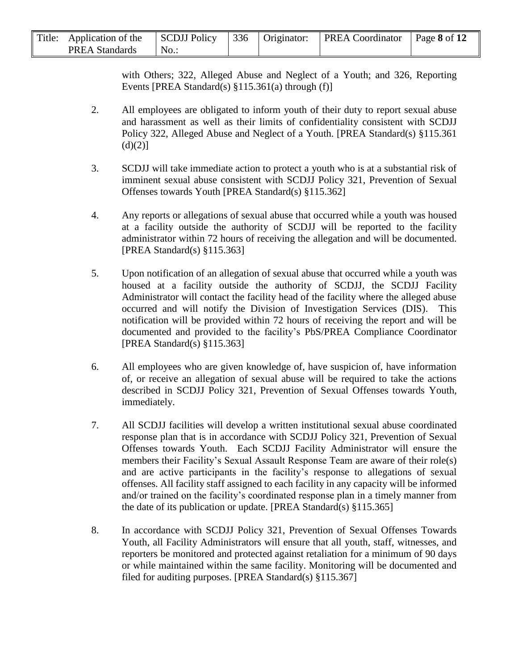| Title: Application of the SCDJJ Policy 336   Originator: PREA Coordinator   Page 8 of 12 |                               |  |  |
|------------------------------------------------------------------------------------------|-------------------------------|--|--|
| <b>PREA Standards</b>                                                                    | $\overline{\phantom{a}}$ No.: |  |  |

with Others; 322, Alleged Abuse and Neglect of a Youth; and 326, Reporting Events [PREA Standard(s) §115.361(a) through (f)]

- 2. All employees are obligated to inform youth of their duty to report sexual abuse and harassment as well as their limits of confidentiality consistent with SCDJJ Policy 322, Alleged Abuse and Neglect of a Youth. [PREA Standard(s) §115.361  $(d)(2)$ ]
- 3. SCDJJ will take immediate action to protect a youth who is at a substantial risk of imminent sexual abuse consistent with SCDJJ Policy 321, Prevention of Sexual Offenses towards Youth [PREA Standard(s) §115.362]
- 4. Any reports or allegations of sexual abuse that occurred while a youth was housed at a facility outside the authority of SCDJJ will be reported to the facility administrator within 72 hours of receiving the allegation and will be documented. [PREA Standard(s) §115.363]
- 5. Upon notification of an allegation of sexual abuse that occurred while a youth was housed at a facility outside the authority of SCDJJ, the SCDJJ Facility Administrator will contact the facility head of the facility where the alleged abuse occurred and will notify the Division of Investigation Services (DIS). This notification will be provided within 72 hours of receiving the report and will be documented and provided to the facility's PbS/PREA Compliance Coordinator [PREA Standard(s) §115.363]
- 6. All employees who are given knowledge of, have suspicion of, have information of, or receive an allegation of sexual abuse will be required to take the actions described in SCDJJ Policy 321, Prevention of Sexual Offenses towards Youth, immediately.
- 7. All SCDJJ facilities will develop a written institutional sexual abuse coordinated response plan that is in accordance with SCDJJ Policy 321, Prevention of Sexual Offenses towards Youth. Each SCDJJ Facility Administrator will ensure the members their Facility's Sexual Assault Response Team are aware of their role(s) and are active participants in the facility's response to allegations of sexual offenses. All facility staff assigned to each facility in any capacity will be informed and/or trained on the facility's coordinated response plan in a timely manner from the date of its publication or update. [PREA Standard(s) §115.365]
- 8. In accordance with SCDJJ Policy 321, Prevention of Sexual Offenses Towards Youth, all Facility Administrators will ensure that all youth, staff, witnesses, and reporters be monitored and protected against retaliation for a minimum of 90 days or while maintained within the same facility. Monitoring will be documented and filed for auditing purposes. [PREA Standard(s) §115.367]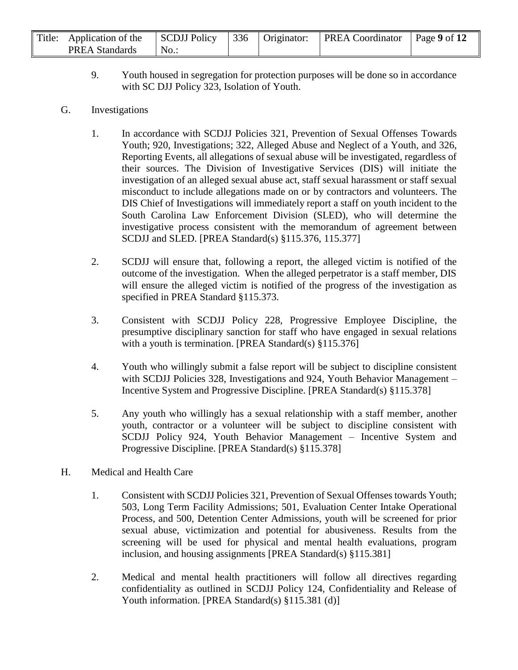| Title: Application of the SCDJJ Policy 336   Originator: PREA Coordinator   Page 9 of 12 |         |  |  |
|------------------------------------------------------------------------------------------|---------|--|--|
| <b>PREA Standards</b>                                                                    | $No.$ : |  |  |

9. Youth housed in segregation for protection purposes will be done so in accordance with SC DJJ Policy 323, Isolation of Youth.

#### G. Investigations

- 1. In accordance with SCDJJ Policies 321, Prevention of Sexual Offenses Towards Youth; 920, Investigations; 322, Alleged Abuse and Neglect of a Youth, and 326, Reporting Events, all allegations of sexual abuse will be investigated, regardless of their sources. The Division of Investigative Services (DIS) will initiate the investigation of an alleged sexual abuse act, staff sexual harassment or staff sexual misconduct to include allegations made on or by contractors and volunteers. The DIS Chief of Investigations will immediately report a staff on youth incident to the South Carolina Law Enforcement Division (SLED), who will determine the investigative process consistent with the memorandum of agreement between SCDJJ and SLED. [PREA Standard(s) §115.376, 115.377]
- 2. SCDJJ will ensure that, following a report, the alleged victim is notified of the outcome of the investigation. When the alleged perpetrator is a staff member, DIS will ensure the alleged victim is notified of the progress of the investigation as specified in PREA Standard §115.373.
- 3. Consistent with SCDJJ Policy 228, Progressive Employee Discipline, the presumptive disciplinary sanction for staff who have engaged in sexual relations with a youth is termination. [PREA Standard(s) §115.376]
- 4. Youth who willingly submit a false report will be subject to discipline consistent with SCDJJ Policies 328, Investigations and 924, Youth Behavior Management – Incentive System and Progressive Discipline. [PREA Standard(s) §115.378]
- 5. Any youth who willingly has a sexual relationship with a staff member, another youth, contractor or a volunteer will be subject to discipline consistent with SCDJJ Policy 924, Youth Behavior Management – Incentive System and Progressive Discipline. [PREA Standard(s) §115.378]
- H. Medical and Health Care
	- 1. Consistent with SCDJJ Policies 321, Prevention of Sexual Offenses towards Youth; 503, Long Term Facility Admissions; 501, Evaluation Center Intake Operational Process, and 500, Detention Center Admissions, youth will be screened for prior sexual abuse, victimization and potential for abusiveness. Results from the screening will be used for physical and mental health evaluations, program inclusion, and housing assignments [PREA Standard(s) §115.381]
	- 2. Medical and mental health practitioners will follow all directives regarding confidentiality as outlined in SCDJJ Policy 124, Confidentiality and Release of Youth information. [PREA Standard(s) §115.381 (d)]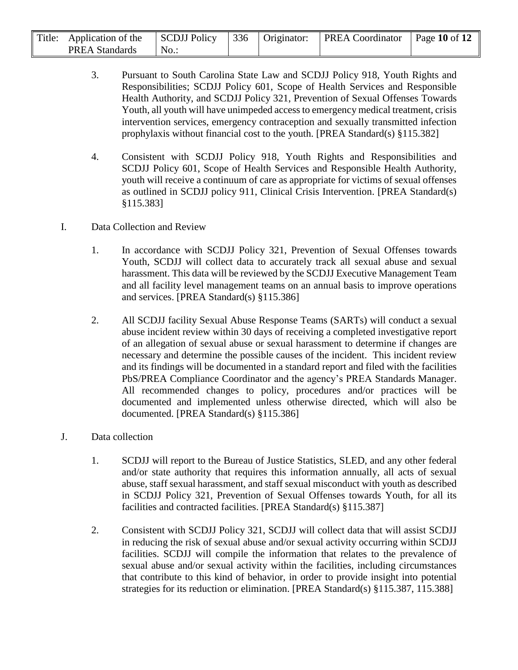| Title: Application of the | SCDJJ Policy |  | 336   Originator:   PREA Coordinator | Page 10 of $12$ |
|---------------------------|--------------|--|--------------------------------------|-----------------|
| <b>PREA Standards</b>     | $No.$ :      |  |                                      |                 |

- 3. Pursuant to South Carolina State Law and SCDJJ Policy 918, Youth Rights and Responsibilities; SCDJJ Policy 601, Scope of Health Services and Responsible Health Authority, and SCDJJ Policy 321, Prevention of Sexual Offenses Towards Youth, all youth will have unimpeded access to emergency medical treatment, crisis intervention services, emergency contraception and sexually transmitted infection prophylaxis without financial cost to the youth. [PREA Standard(s) §115.382]
- 4. Consistent with SCDJJ Policy 918, Youth Rights and Responsibilities and SCDJJ Policy 601, Scope of Health Services and Responsible Health Authority, youth will receive a continuum of care as appropriate for victims of sexual offenses as outlined in SCDJJ policy 911, Clinical Crisis Intervention. [PREA Standard(s) §115.383]
- I. Data Collection and Review
	- 1. In accordance with SCDJJ Policy 321, Prevention of Sexual Offenses towards Youth, SCDJJ will collect data to accurately track all sexual abuse and sexual harassment. This data will be reviewed by the SCDJJ Executive Management Team and all facility level management teams on an annual basis to improve operations and services. [PREA Standard(s) §115.386]
	- 2. All SCDJJ facility Sexual Abuse Response Teams (SARTs) will conduct a sexual abuse incident review within 30 days of receiving a completed investigative report of an allegation of sexual abuse or sexual harassment to determine if changes are necessary and determine the possible causes of the incident. This incident review and its findings will be documented in a standard report and filed with the facilities PbS/PREA Compliance Coordinator and the agency's PREA Standards Manager. All recommended changes to policy, procedures and/or practices will be documented and implemented unless otherwise directed, which will also be documented. [PREA Standard(s) §115.386]
- J. Data collection
	- 1. SCDJJ will report to the Bureau of Justice Statistics, SLED, and any other federal and/or state authority that requires this information annually, all acts of sexual abuse, staff sexual harassment, and staff sexual misconduct with youth as described in SCDJJ Policy 321, Prevention of Sexual Offenses towards Youth, for all its facilities and contracted facilities. [PREA Standard(s) §115.387]
	- 2. Consistent with SCDJJ Policy 321, SCDJJ will collect data that will assist SCDJJ in reducing the risk of sexual abuse and/or sexual activity occurring within SCDJJ facilities. SCDJJ will compile the information that relates to the prevalence of sexual abuse and/or sexual activity within the facilities, including circumstances that contribute to this kind of behavior, in order to provide insight into potential strategies for its reduction or elimination. [PREA Standard(s) §115.387, 115.388]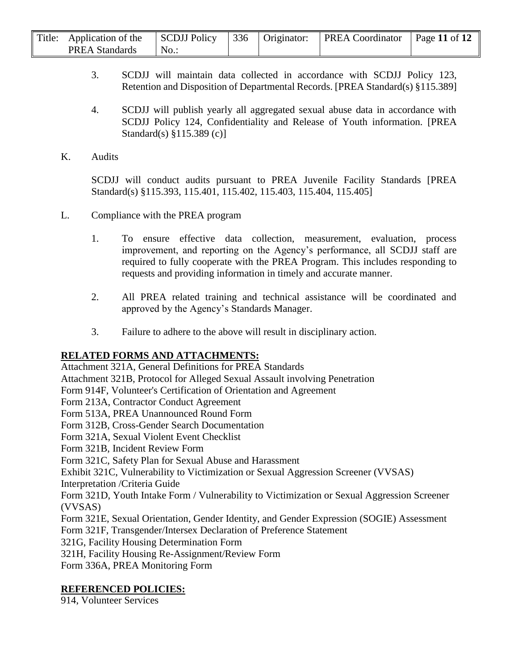| Title: Application of the | SCDJJ Policy |  | 336   Originator:   PREA Coordinator | Page 11 of $12$ |
|---------------------------|--------------|--|--------------------------------------|-----------------|
| <b>PREA Standards</b>     | No.          |  |                                      |                 |

- 3. SCDJJ will maintain data collected in accordance with SCDJJ Policy 123, Retention and Disposition of Departmental Records. [PREA Standard(s) §115.389]
- 4. SCDJJ will publish yearly all aggregated sexual abuse data in accordance with SCDJJ Policy 124, Confidentiality and Release of Youth information. [PREA Standard(s) §115.389 (c)]
- K. Audits

SCDJJ will conduct audits pursuant to PREA Juvenile Facility Standards [PREA Standard(s) §115.393, 115.401, 115.402, 115.403, 115.404, 115.405]

- L. Compliance with the PREA program
	- 1. To ensure effective data collection, measurement, evaluation, process improvement, and reporting on the Agency's performance, all SCDJJ staff are required to fully cooperate with the PREA Program. This includes responding to requests and providing information in timely and accurate manner.
	- 2. All PREA related training and technical assistance will be coordinated and approved by the Agency's Standards Manager.
	- 3. Failure to adhere to the above will result in disciplinary action.

## **RELATED FORMS AND ATTACHMENTS:**

Attachment 321A, General Definitions for PREA Standards

Attachment 321B, Protocol for Alleged Sexual Assault involving Penetration

Form 914F, Volunteer's Certification of Orientation and Agreement

Form 213A, Contractor Conduct Agreement

Form 513A, PREA Unannounced Round Form

Form 312B, Cross-Gender Search Documentation

Form 321A, Sexual Violent Event Checklist

Form 321B, Incident Review Form

Form 321C, Safety Plan for Sexual Abuse and Harassment

Exhibit 321C, Vulnerability to Victimization or Sexual Aggression Screener (VVSAS)

Interpretation /Criteria Guide

Form 321D, Youth Intake Form / Vulnerability to Victimization or Sexual Aggression Screener (VVSAS)

Form 321E, Sexual Orientation, Gender Identity, and Gender Expression (SOGIE) Assessment Form 321F, Transgender/Intersex Declaration of Preference Statement

321G, Facility Housing Determination Form

321H, Facility Housing Re-Assignment/Review Form

Form 336A, PREA Monitoring Form

## **REFERENCED POLICIES:**

914, Volunteer Services